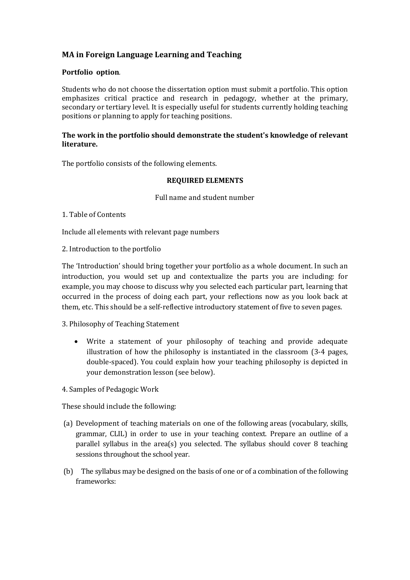# **MA in Foreign Language Learning and Teaching**

### **Portfolio option***.*

Students who do not choose the dissertation option must submit a portfolio. This option emphasizes critical practice and research in pedagogy, whether at the primary, secondary or tertiary level. It is especially useful for students currently holding teaching positions or planning to apply for teaching positions.

#### **The work in the portfolio should demonstrate the student's knowledge of relevant literature.**

The portfolio consists of the following elements.

#### **REQUIRED ELEMENTS**

Full name and student number

#### 1. Table of Contents

Include all elements with relevant page numbers

2. Introduction to the portfolio

The 'Introduction' should bring together your portfolio as a whole document. In such an introduction, you would set up and contextualize the parts you are including: for example, you may choose to discuss why you selected each particular part, learning that occurred in the process of doing each part, your reflections now as you look back at them, etc. This should be a self-reflective introductory statement of five to seven pages.

## 3. Philosophy of Teaching Statement

 Write a statement of your philosophy of teaching and provide adequate illustration of how the philosophy is instantiated in the classroom (3-4 pages, double-spaced). You could explain how your teaching philosophy is depicted in your demonstration lesson (see below).

4. Samples of Pedagogic Work

These should include the following:

- (a) Development of teaching materials on one of the following areas (vocabulary, skills, grammar, CLIL) in order to use in your teaching context. Prepare an outline of a parallel syllabus in the area(s) you selected. The syllabus should cover 8 teaching sessions throughout the school year.
- (b) The syllabus may be designed on the basis of one or of a combination of the following frameworks: